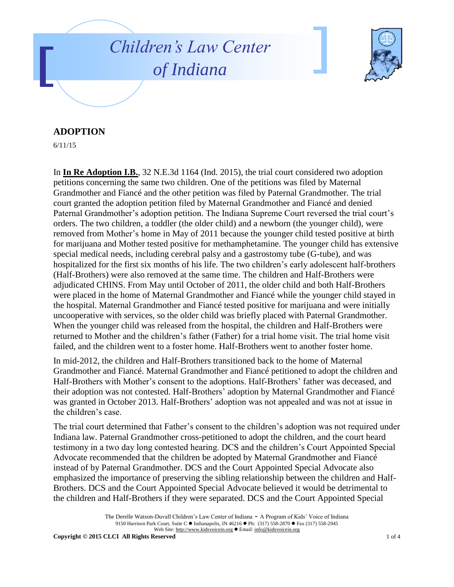



## **ADOPTION**

6/11/15

In **In Re Adoption I.B.**, 32 N.E.3d 1164 (Ind. 2015), the trial court considered two adoption petitions concerning the same two children. One of the petitions was filed by Maternal Grandmother and Fiancé and the other petition was filed by Paternal Grandmother. The trial court granted the adoption petition filed by Maternal Grandmother and Fiancé and denied Paternal Grandmother's adoption petition. The Indiana Supreme Court reversed the trial court's orders. The two children, a toddler (the older child) and a newborn (the younger child), were removed from Mother's home in May of 2011 because the younger child tested positive at birth for marijuana and Mother tested positive for methamphetamine. The younger child has extensive special medical needs, including cerebral palsy and a gastrostomy tube (G-tube), and was hospitalized for the first six months of his life. The two children's early adolescent half-brothers (Half-Brothers) were also removed at the same time. The children and Half-Brothers were adjudicated CHINS. From May until October of 2011, the older child and both Half-Brothers were placed in the home of Maternal Grandmother and Fiancé while the younger child stayed in the hospital. Maternal Grandmother and Fiancé tested positive for marijuana and were initially uncooperative with services, so the older child was briefly placed with Paternal Grandmother. When the younger child was released from the hospital, the children and Half-Brothers were returned to Mother and the children's father (Father) for a trial home visit. The trial home visit failed, and the children went to a foster home. Half-Brothers went to another foster home.

In mid-2012, the children and Half-Brothers transitioned back to the home of Maternal Grandmother and Fiancé. Maternal Grandmother and Fiancé petitioned to adopt the children and Half-Brothers with Mother's consent to the adoptions. Half-Brothers' father was deceased, and their adoption was not contested. Half-Brothers' adoption by Maternal Grandmother and Fiancé was granted in October 2013. Half-Brothers' adoption was not appealed and was not at issue in the children's case.

The trial court determined that Father's consent to the children's adoption was not required under Indiana law. Paternal Grandmother cross-petitioned to adopt the children, and the court heard testimony in a two day long contested hearing. DCS and the children's Court Appointed Special Advocate recommended that the children be adopted by Maternal Grandmother and Fiancé instead of by Paternal Grandmother. DCS and the Court Appointed Special Advocate also emphasized the importance of preserving the sibling relationship between the children and Half-Brothers. DCS and the Court Appointed Special Advocate believed it would be detrimental to the children and Half-Brothers if they were separated. DCS and the Court Appointed Special

The Derelle Watson-Duvall Children's Law Center of Indiana - A Program of Kids' Voice of Indiana 9150 Harrison Park Court, Suite C · Indianapolis, IN 46216 · Ph: (317) 558-2870 · Fax (317) 558-2945 Web Site: http://www.kidsvoicein.org · Email: info@kidsvoicein.org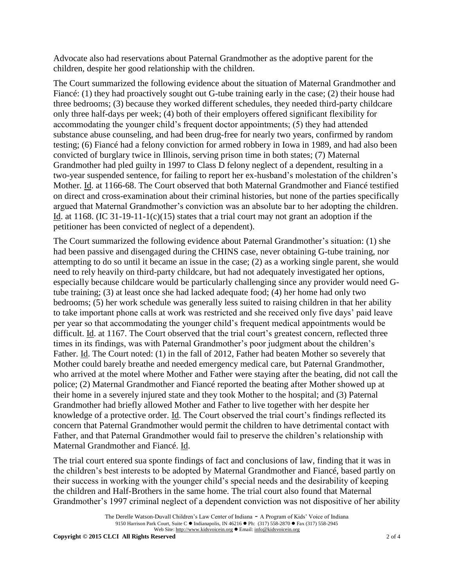Advocate also had reservations about Paternal Grandmother as the adoptive parent for the children, despite her good relationship with the children.

The Court summarized the following evidence about the situation of Maternal Grandmother and Fiancé: (1) they had proactively sought out G-tube training early in the case; (2) their house had three bedrooms; (3) because they worked different schedules, they needed third-party childcare only three half-days per week; (4) both of their employers offered significant flexibility for accommodating the younger child's frequent doctor appointments; (5) they had attended substance abuse counseling, and had been drug-free for nearly two years, confirmed by random testing; (6) Fiancé had a felony conviction for armed robbery in Iowa in 1989, and had also been convicted of burglary twice in Illinois, serving prison time in both states; (7) Maternal Grandmother had pled guilty in 1997 to Class D felony neglect of a dependent, resulting in a two-year suspended sentence, for failing to report her ex-husband's molestation of the children's Mother. Id. at 1166-68. The Court observed that both Maternal Grandmother and Fiancé testified on direct and cross-examination about their criminal histories, but none of the parties specifically argued that Maternal Grandmother's conviction was an absolute bar to her adopting the children. Id. at 1168. (IC 31-19-11-1(c)(15) states that a trial court may not grant an adoption if the petitioner has been convicted of neglect of a dependent).

The Court summarized the following evidence about Paternal Grandmother's situation: (1) she had been passive and disengaged during the CHINS case, never obtaining G-tube training, nor attempting to do so until it became an issue in the case; (2) as a working single parent, she would need to rely heavily on third-party childcare, but had not adequately investigated her options, especially because childcare would be particularly challenging since any provider would need Gtube training; (3) at least once she had lacked adequate food; (4) her home had only two bedrooms; (5) her work schedule was generally less suited to raising children in that her ability to take important phone calls at work was restricted and she received only five days' paid leave per year so that accommodating the younger child's frequent medical appointments would be difficult. Id. at 1167. The Court observed that the trial court's greatest concern, reflected three times in its findings, was with Paternal Grandmother's poor judgment about the children's Father. Id. The Court noted: (1) in the fall of 2012, Father had beaten Mother so severely that Mother could barely breathe and needed emergency medical care, but Paternal Grandmother, who arrived at the motel where Mother and Father were staying after the beating, did not call the police; (2) Maternal Grandmother and Fiancé reported the beating after Mother showed up at their home in a severely injured state and they took Mother to the hospital; and (3) Paternal Grandmother had briefly allowed Mother and Father to live together with her despite her knowledge of a protective order. Id. The Court observed the trial court's findings reflected its concern that Paternal Grandmother would permit the children to have detrimental contact with Father, and that Paternal Grandmother would fail to preserve the children's relationship with Maternal Grandmother and Fiancé. Id.

The trial court entered sua sponte findings of fact and conclusions of law, finding that it was in the children's best interests to be adopted by Maternal Grandmother and Fiancé, based partly on their success in working with the younger child's special needs and the desirability of keeping the children and Half-Brothers in the same home. The trial court also found that Maternal Grandmother's 1997 criminal neglect of a dependent conviction was not dispositive of her ability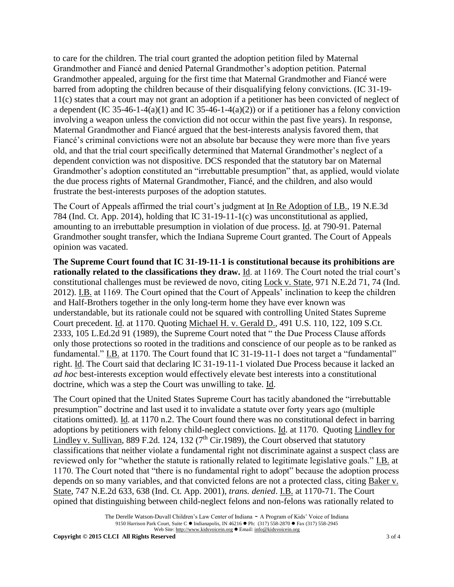to care for the children. The trial court granted the adoption petition filed by Maternal Grandmother and Fiancé and denied Paternal Grandmother's adoption petition. Paternal Grandmother appealed, arguing for the first time that Maternal Grandmother and Fiancé were barred from adopting the children because of their disqualifying felony convictions. (IC 31-19- 11(c) states that a court may not grant an adoption if a petitioner has been convicted of neglect of a dependent (IC 35-46-1-4(a)(1) and IC 35-46-1-4(a)(2)) or if a petitioner has a felony conviction involving a weapon unless the conviction did not occur within the past five years). In response, Maternal Grandmother and Fiancé argued that the best-interests analysis favored them, that Fiancé's criminal convictions were not an absolute bar because they were more than five years old, and that the trial court specifically determined that Maternal Grandmother's neglect of a dependent conviction was not dispositive. DCS responded that the statutory bar on Maternal Grandmother's adoption constituted an "irrebuttable presumption" that, as applied, would violate the due process rights of Maternal Grandmother, Fiancé, and the children, and also would frustrate the best-interests purposes of the adoption statutes.

The Court of Appeals affirmed the trial court's judgment at In Re Adoption of I.B., 19 N.E.3d 784 (Ind. Ct. App. 2014), holding that IC 31-19-11-1(c) was unconstitutional as applied, amounting to an irrebuttable presumption in violation of due process. Id. at 790-91. Paternal Grandmother sought transfer, which the Indiana Supreme Court granted. The Court of Appeals opinion was vacated.

**The Supreme Court found that IC 31-19-11-1 is constitutional because its prohibitions are rationally related to the classifications they draw.** Id. at 1169. The Court noted the trial court's constitutional challenges must be reviewed de novo, citing Lock v. State, 971 N.E.2d 71, 74 (Ind. 2012). I.B. at 1169. The Court opined that the Court of Appeals' inclination to keep the children and Half-Brothers together in the only long-term home they have ever known was understandable, but its rationale could not be squared with controlling United States Supreme Court precedent. Id. at 1170. Quoting Michael H. v. Gerald D., 491 U.S. 110, 122, 109 S.Ct. 2333, 105 L.Ed.2d 91 (1989), the Supreme Court noted that " the Due Process Clause affords only those protections so rooted in the traditions and conscience of our people as to be ranked as fundamental." I.B. at 1170. The Court found that IC 31-19-11-1 does not target a "fundamental" right. Id. The Court said that declaring IC 31-19-11-1 violated Due Process because it lacked an *ad hoc* best-interests exception would effectively elevate best interests into a constitutional doctrine, which was a step the Court was unwilling to take. Id.

The Court opined that the United States Supreme Court has tacitly abandoned the "irrebuttable presumption" doctrine and last used it to invalidate a statute over forty years ago (multiple citations omitted). Id. at 1170 n.2. The Court found there was no constitutional defect in barring adoptions by petitioners with felony child-neglect convictions. Id. at 1170. Quoting Lindley for Lindley v. Sullivan, 889 F.2d. 124, 132 ( $7<sup>th</sup>$  Cir.1989), the Court observed that statutory classifications that neither violate a fundamental right not discriminate against a suspect class are reviewed only for "whether the statute is rationally related to legitimate legislative goals." I.B. at 1170. The Court noted that "there is no fundamental right to adopt" because the adoption process depends on so many variables, and that convicted felons are not a protected class, citing Baker v. State, 747 N.E.2d 633, 638 (Ind. Ct. App. 2001), *trans. denied*. I.B. at 1170-71. The Court opined that distinguishing between child-neglect felons and non-felons was rationally related to